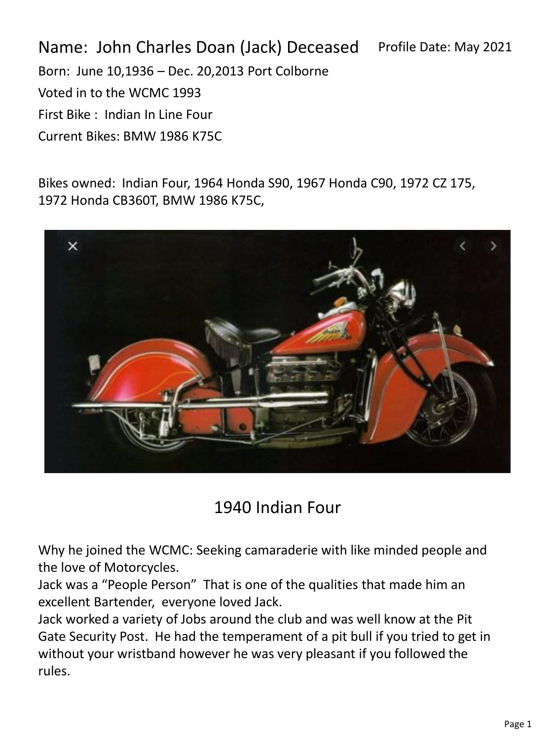Name: John Charles Doan (Jack) Deceased Born: June 10,1936 – Dec. 20,2013 Port Colborne Voted in to the WCMC 1993 First Bike : Indian In Line Four Current Bikes: BMW 1986 K75C Profile Date: May 2021

Bikes owned: Indian Four, 1964 Honda S90, 1967 Honda C90, 1972 CZ 175, 1972 Honda CB360T, BMW 1986 K75C,



## 1940 Indian Four

Why he joined the WCMC: Seeking camaraderie with like minded people and the love of Motorcycles.

Jack was a "People Person" That is one of the qualities that made him an excellent Bartender, everyone loved Jack.

Jack worked a variety of Jobs around the club and was well know at the Pit Gate Security Post. He had the temperament of a pit bull if you tried to get in without your wristband however he was very pleasant if you followed the rules.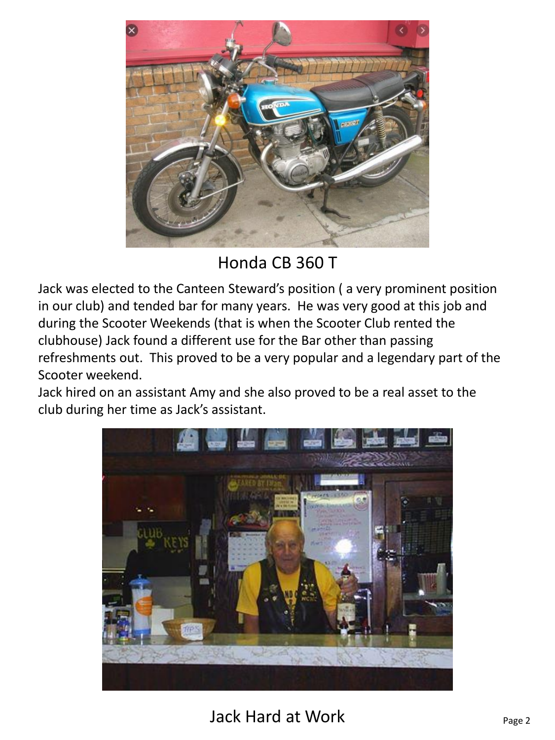

Honda CB 360 T

Jack was elected to the Canteen Steward's position ( a very prominent position in our club) and tended bar for many years. He was very good at this job and during the Scooter Weekends (that is when the Scooter Club rented the clubhouse) Jack found a different use for the Bar other than passing refreshments out. This proved to be a very popular and a legendary part of the Scooter weekend.

Jack hired on an assistant Amy and she also proved to be a real asset to the club during her time as Jack's assistant.



Jack Hard at Work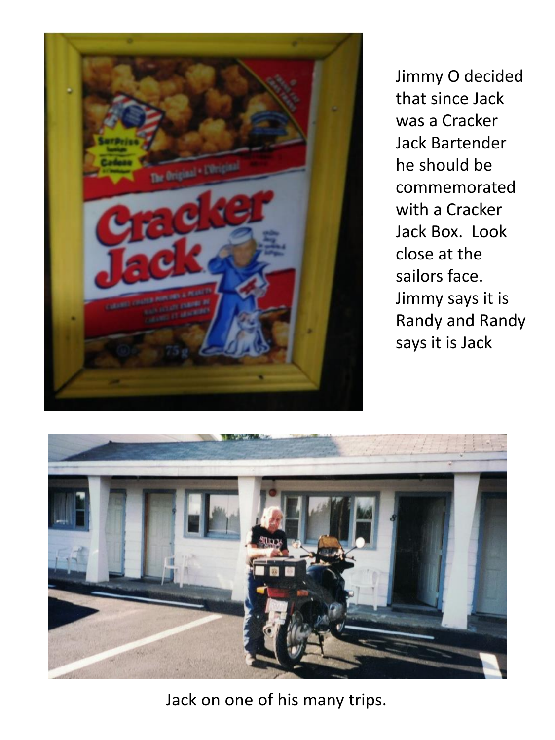

Jimmy O decided that since Jack was a Cracker Jack Bartender he should be commemorated with a Cracker Jack Box. Look close at the sailors face. Jimmy says it is Randy and Randy says it is Jack



Jack on one of his many trips.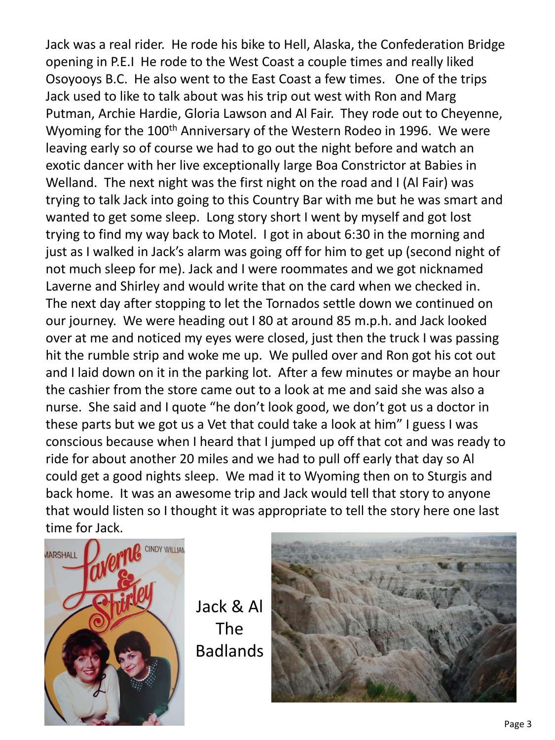Jack was a real rider. He rode his bike to Hell, Alaska, the Confederation Bridge opening in P.E.I He rode to the West Coast a couple times and really liked Osoyooys B.C. He also went to the East Coast a few times. One of the trips Jack used to like to talk about was his trip out west with Ron and Marg Putman, Archie Hardie, Gloria Lawson and Al Fair. They rode out to Cheyenne, Wyoming for the 100<sup>th</sup> Anniversary of the Western Rodeo in 1996. We were leaving early so of course we had to go out the night before and watch an exotic dancer with her live exceptionally large Boa Constrictor at Babies in Welland. The next night was the first night on the road and I (Al Fair) was trying to talk Jack into going to this Country Bar with me but he was smart and wanted to get some sleep. Long story short I went by myself and got lost trying to find my way back to Motel. I got in about 6:30 in the morning and just as I walked in Jack's alarm was going off for him to get up (second night of not much sleep for me). Jack and I were roommates and we got nicknamed Laverne and Shirley and would write that on the card when we checked in. The next day after stopping to let the Tornados settle down we continued on our journey. We were heading out I 80 at around 85 m.p.h. and Jack looked over at me and noticed my eyes were closed, just then the truck I was passing hit the rumble strip and woke me up. We pulled over and Ron got his cot out and I laid down on it in the parking lot. After a few minutes or maybe an hour the cashier from the store came out to a look at me and said she was also a nurse. She said and I quote "he don't look good, we don't got us a doctor in these parts but we got us a Vet that could take a look at him" I guess I was conscious because when I heard that I jumped up off that cot and was ready to ride for about another 20 miles and we had to pull off early that day so Al could get a good nights sleep. We mad it to Wyoming then on to Sturgis and back home. It was an awesome trip and Jack would tell that story to anyone that would listen so I thought it was appropriate to tell the story here one last time for Jack.



Jack & Al The Badlands

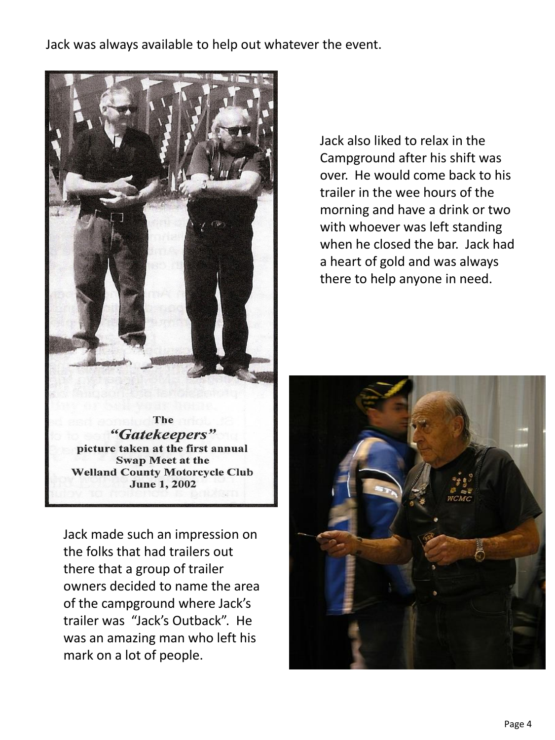Jack was always available to help out whatever the event.



Jack also liked to relax in the Campground after his shift was over. He would come back to his trailer in the wee hours of the morning and have a drink or two with whoever was left standing when he closed the bar. Jack had a heart of gold and was always there to help anyone in need.

The "Gatekeepers" picture taken at the first annual **Swap Meet at the Welland County Motorcycle Club June 1, 2002** 

Jack made such an impression on the folks that had trailers out there that a group of trailer owners decided to name the area of the campground where Jack's trailer was "Jack's Outback". He was an amazing man who left his mark on a lot of people.

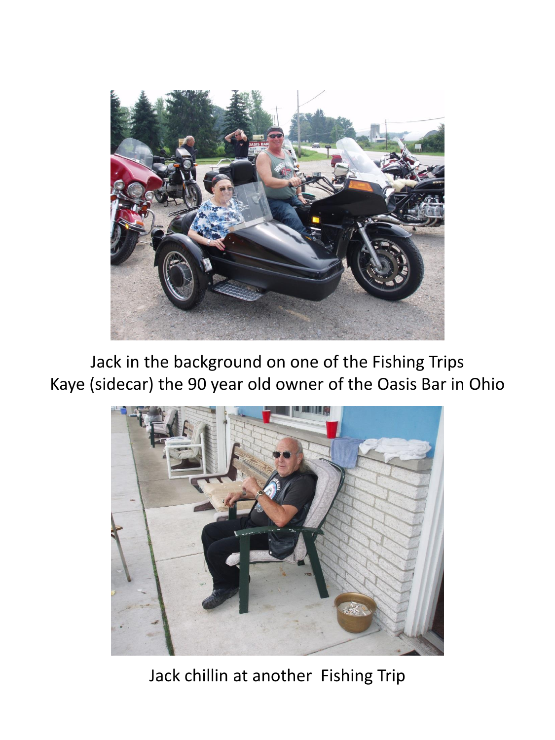

Jack in the background on one of the Fishing Trips Kaye (sidecar) the 90 year old owner of the Oasis Bar in Ohio



Jack chillin at another Fishing Trip